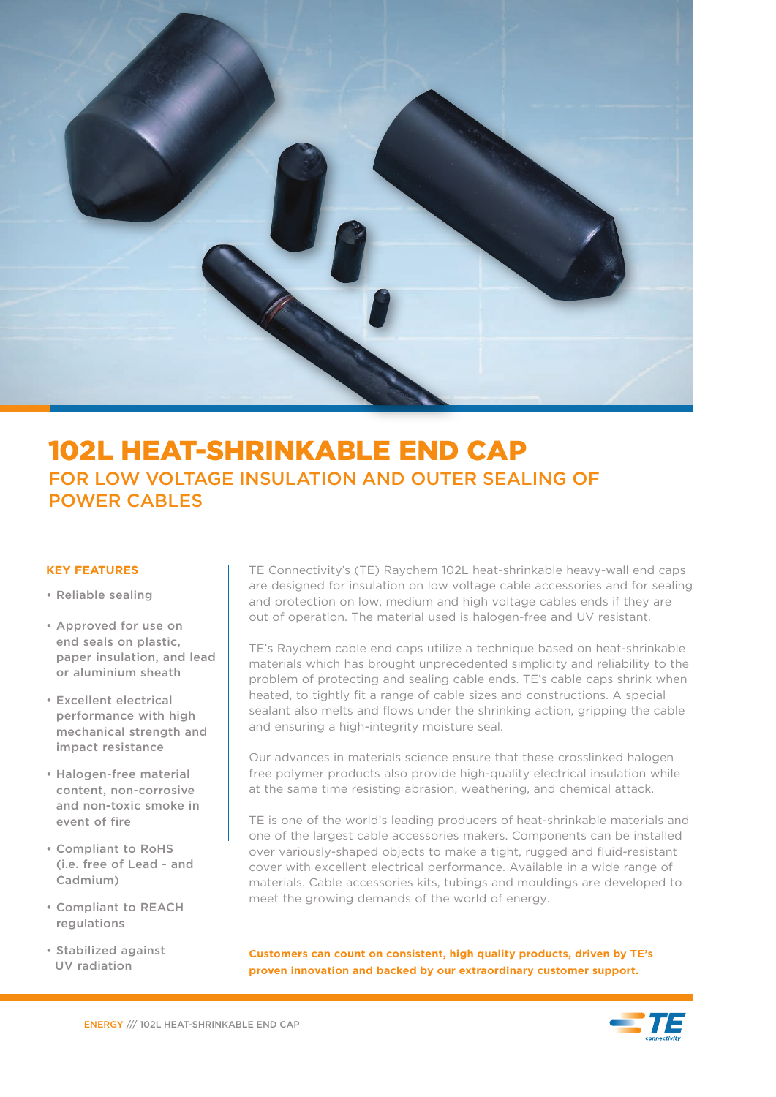

# 102L HEAT-SHRINKABLE END CAP FOR LOW VOLTAGE INSULATION AND OUTER SEALING OF POWER CABLES

- Reliable sealing
- Approved for use on end seals on plastic, paper insulation, and lead or aluminium sheath
- Excellent electrical performance with high mechanical strength and impact resistance
- Halogen-free material content, non-corrosive and non-toxic smoke in event of fire
- Compliant to RoHS (i.e. free of Lead - and Cadmium)
- Compliant to REACH regulations
- Stabilized against UV radiation

**KEY FEATURES** TE Connectivity's (TE) Raychem 102L heat-shrinkable heavy-wall end caps are designed for insulation on low voltage cable accessories and for sealing and protection on low, medium and high voltage cables ends if they are out of operation. The material used is halogen-free and UV resistant.

> TE's Raychem cable end caps utilize a technique based on heat-shrinkable materials which has brought unprecedented simplicity and reliability to the problem of protecting and sealing cable ends. TE's cable caps shrink when heated, to tightly fit a range of cable sizes and constructions. A special sealant also melts and flows under the shrinking action, gripping the cable and ensuring a high-integrity moisture seal.

Our advances in materials science ensure that these crosslinked halogen free polymer products also provide high-quality electrical insulation while at the same time resisting abrasion, weathering, and chemical attack.

TE is one of the world's leading producers of heat-shrinkable materials and one of the largest cable accessories makers. Components can be installed over variously-shaped objects to make a tight, rugged and fluid-resistant cover with excellent electrical performance. Available in a wide range of materials. Cable accessories kits, tubings and mouldings are developed to meet the growing demands of the world of energy.

**Customers can count on consistent, high quality products, driven by TE's proven innovation and backed by our extraordinary customer support.**